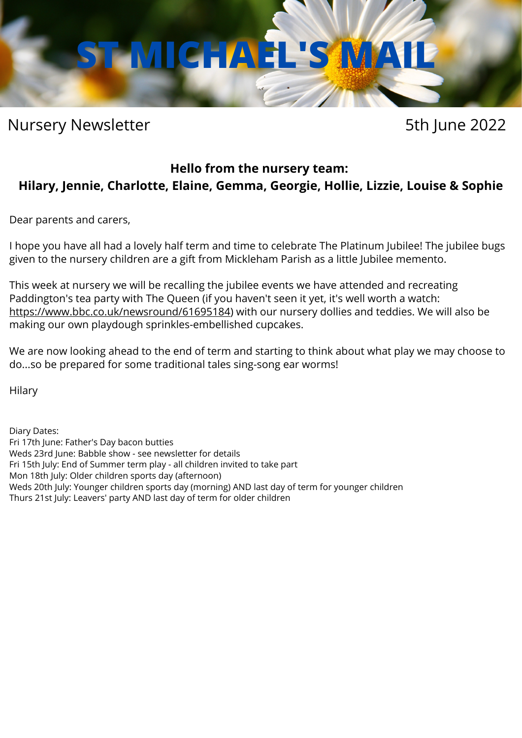# **ST MICHAEL'S MAIL**

# Nursery Newsletter **5th June 2022**

# **Hello from the nursery team: Hilary, Jennie, Charlotte, Elaine, Gemma, Georgie, Hollie, Lizzie, Louise & Sophie**

Dear parents and carers,

I hope you have all had a lovely half term and time to celebrate The Platinum Jubilee! The jubilee bugs given to the nursery children are a gift from Mickleham Parish as a little Jubilee memento.

This week at nursery we will be recalling the jubilee events we have attended and recreating Paddington's tea party with The Queen (if you haven't seen it yet, it's well worth a watch: [https://www.bbc.co.uk/newsround/61695184\)](https://www.bbc.co.uk/newsround/61695184) with our nursery dollies and teddies. We will also be making our own playdough sprinkles-embellished cupcakes.

We are now looking ahead to the end of term and starting to think about what play we may choose to do...so be prepared for some traditional tales sing-song ear worms!

Hilary

Diary Dates:

Fri 17th June: Father's Day bacon butties

Weds 23rd June: Babble show - see newsletter for details

Fri 15th July: End of Summer term play - all children invited to take part

Mon 18th July: Older children sports day (afternoon)

Weds 20th July: Younger children sports day (morning) AND last day of term for younger children

Thurs 21st July: Leavers' party AND last day of term for older children